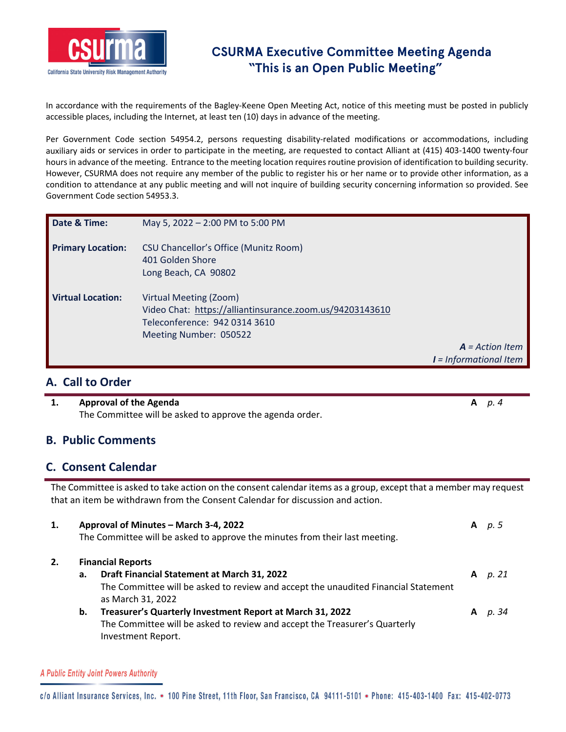

## **CSURMA Executive Committee Meeting Agenda "This is an Open Public Meeting"**

In accordance with the requirements of the Bagley‐Keene Open Meeting Act, notice of this meeting must be posted in publicly accessible places, including the Internet, at least ten (10) days in advance of the meeting.

Per Government Code section 54954.2, persons requesting disability-related modifications or accommodations, including auxiliary aids or services in order to participate in the meeting, are requested to contact Alliant at (415) 403‐1400 twenty‐four hours in advance of the meeting. Entrance to the meeting location requires routine provision of identification to building security. However, CSURMA does not require any member of the public to register his or her name or to provide other information, as a condition to attendance at any public meeting and will not inquire of building security concerning information so provided. See Government Code section 54953.3.

| Date & Time:             | May 5, 2022 - 2:00 PM to 5:00 PM                                                                                                              |                          |
|--------------------------|-----------------------------------------------------------------------------------------------------------------------------------------------|--------------------------|
| <b>Primary Location:</b> | CSU Chancellor's Office (Munitz Room)<br>401 Golden Shore<br>Long Beach, CA 90802                                                             |                          |
| <b>Virtual Location:</b> | Virtual Meeting (Zoom)<br>Video Chat: https://alliantinsurance.zoom.us/94203143610<br>Teleconference: 942 0314 3610<br>Meeting Number: 050522 |                          |
|                          |                                                                                                                                               | $A = Action$ Item        |
|                          |                                                                                                                                               | $I = Informational$ Item |

### **A. Call to Order**

#### **1. Approval of the Agenda A** *p. 4* The Committee will be asked to approve the agenda order.

#### **B. Public Comments**

## **C. Consent Calendar**

The Committee is asked to take action on the consent calendar items as a group, except that a member may request that an item be withdrawn from the Consent Calendar for discussion and action.

| 1. |          | Approval of Minutes - March 3-4, 2022<br>The Committee will be asked to approve the minutes from their last meeting.                                                                                                                                                                                                                                | A      | p. 5           |
|----|----------|-----------------------------------------------------------------------------------------------------------------------------------------------------------------------------------------------------------------------------------------------------------------------------------------------------------------------------------------------------|--------|----------------|
| 2. | а.<br>b. | <b>Financial Reports</b><br>Draft Financial Statement at March 31, 2022<br>The Committee will be asked to review and accept the unaudited Financial Statement<br>as March 31, 2022<br>Treasurer's Quarterly Investment Report at March 31, 2022<br>The Committee will be asked to review and accept the Treasurer's Quarterly<br>Investment Report. | A<br>A | p. 21<br>p. 34 |

#### A Public Entity Joint Powers Authority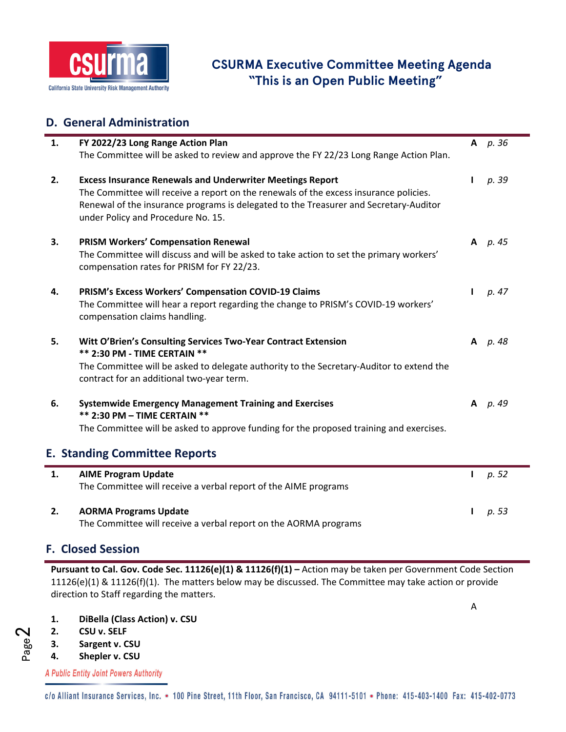

# **CSURMA Executive Committee Meeting Agenda "This is an Open Public Meeting"**

## **D. General Administration**

| 1. | FY 2022/23 Long Range Action Plan                                                                                                                                                                                    |              | A $p.36$   |  |
|----|----------------------------------------------------------------------------------------------------------------------------------------------------------------------------------------------------------------------|--------------|------------|--|
|    | The Committee will be asked to review and approve the FY 22/23 Long Range Action Plan.                                                                                                                               |              |            |  |
| 2. | <b>Excess Insurance Renewals and Underwriter Meetings Report</b>                                                                                                                                                     | Ι.           | p. 39      |  |
|    | The Committee will receive a report on the renewals of the excess insurance policies.<br>Renewal of the insurance programs is delegated to the Treasurer and Secretary-Auditor<br>under Policy and Procedure No. 15. |              |            |  |
| 3. | <b>PRISM Workers' Compensation Renewal</b>                                                                                                                                                                           |              | A $p.45$   |  |
|    | The Committee will discuss and will be asked to take action to set the primary workers'<br>compensation rates for PRISM for FY 22/23.                                                                                |              |            |  |
| 4. | PRISM's Excess Workers' Compensation COVID-19 Claims                                                                                                                                                                 | $\mathbf{I}$ | p. 47      |  |
|    | The Committee will hear a report regarding the change to PRISM's COVID-19 workers'<br>compensation claims handling.                                                                                                  |              |            |  |
| 5. | Witt O'Brien's Consulting Services Two-Year Contract Extension                                                                                                                                                       |              | $A$ $p.48$ |  |
|    | ** 2:30 PM - TIME CERTAIN **<br>The Committee will be asked to delegate authority to the Secretary-Auditor to extend the                                                                                             |              |            |  |
|    | contract for an additional two-year term.                                                                                                                                                                            |              |            |  |
| 6. | <b>Systemwide Emergency Management Training and Exercises</b>                                                                                                                                                        |              | A p. 49    |  |
|    | ** 2:30 PM - TIME CERTAIN **<br>The Committee will be asked to approve funding for the proposed training and exercises.                                                                                              |              |            |  |
|    |                                                                                                                                                                                                                      |              |            |  |
|    | <b>E. Standing Committee Reports</b>                                                                                                                                                                                 |              |            |  |
| 1. | <b>AIME Program Update</b>                                                                                                                                                                                           | L            | p. 52      |  |
|    | The Committee will receive a verbal report of the AIME programs                                                                                                                                                      |              |            |  |
| 2. | <b>AORMA Programs Update</b>                                                                                                                                                                                         | L            | p. 53      |  |
|    | $\blacksquare$                                                                                                                                                                                                       |              |            |  |

The Committee will receive a verbal report on the AORMA programs

## **F. Closed Session**

**Pursuant to Cal. Gov. Code Sec. 11126(e)(1) & 11126(f)(1) –** Action may be taken per Government Code Section 11126(e)(1) & 11126(f)(1). The matters below may be discussed. The Committee may take action or provide direction to Staff regarding the matters.

A

- **1. DiBella (Class Action) v. CSU**
- **2. CSU v. SELF**
- **3. Sargent v. CSU**
- **4. Shepler v. CSU**

A Public Entity Joint Powers Authority